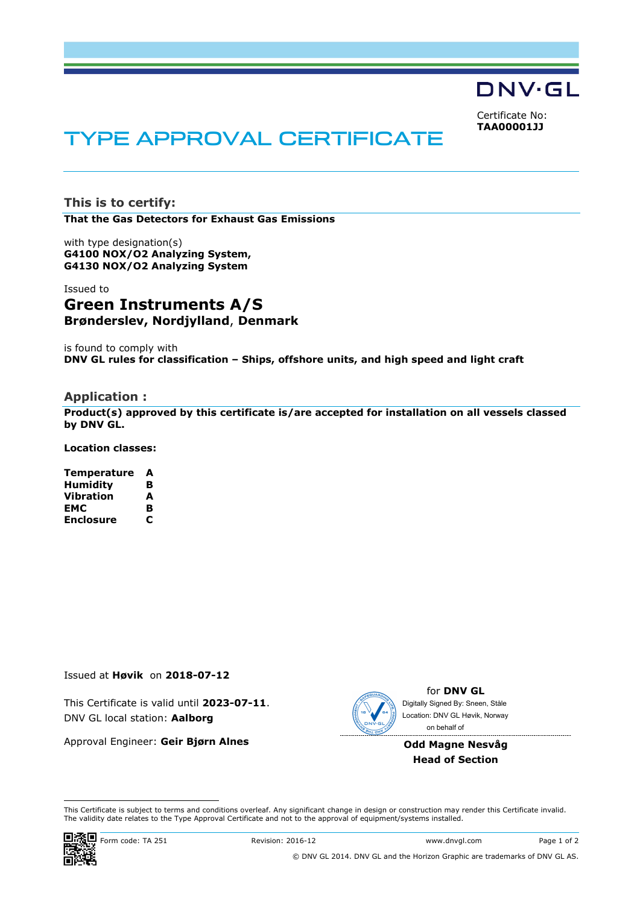DNV·GL

Certificate No: **TAA00001JJ**

# TYPE APPROVAL CERTIFICATE

**This is to certify: That the Gas Detectors for Exhaust Gas Emissions**

with type designation(s) **G4100 NOX/O2 Analyzing System, G4130 NOX/O2 Analyzing System**

#### Issued to

## **Green Instruments A/S Brønderslev, Nordjylland**, **Denmark**

is found to comply with **DNV GL rules for classification – Ships, offshore units, and high speed and light craft**

#### **Application :**

**Product(s) approved by this certificate is/are accepted for installation on all vessels classed by DNV GL.** 

**Location classes:** 

| Temperature      | A |
|------------------|---|
| <b>Humidity</b>  | в |
| Vibration        | A |
| EMC              | B |
| <b>Enclosure</b> | С |

Issued at **Høvik** on **2018-07-12**

This Certificate is valid until **2023-07-11**. DNV GL local station: **Aalborg**

Approval Engineer: **Geir Bjørn Alnes**



for **DNV GL** on behalf ofDigitally Signed By: Sneen, Ståle Location: DNV GL Høvik, Norway

**Odd Magne Nesvåg Head of Section**

 This Certificate is subject to terms and conditions overleaf. Any significant change in design or construction may render this Certificate invalid. The validity date relates to the Type Approval Certificate and not to the approval of equipment/systems installed.